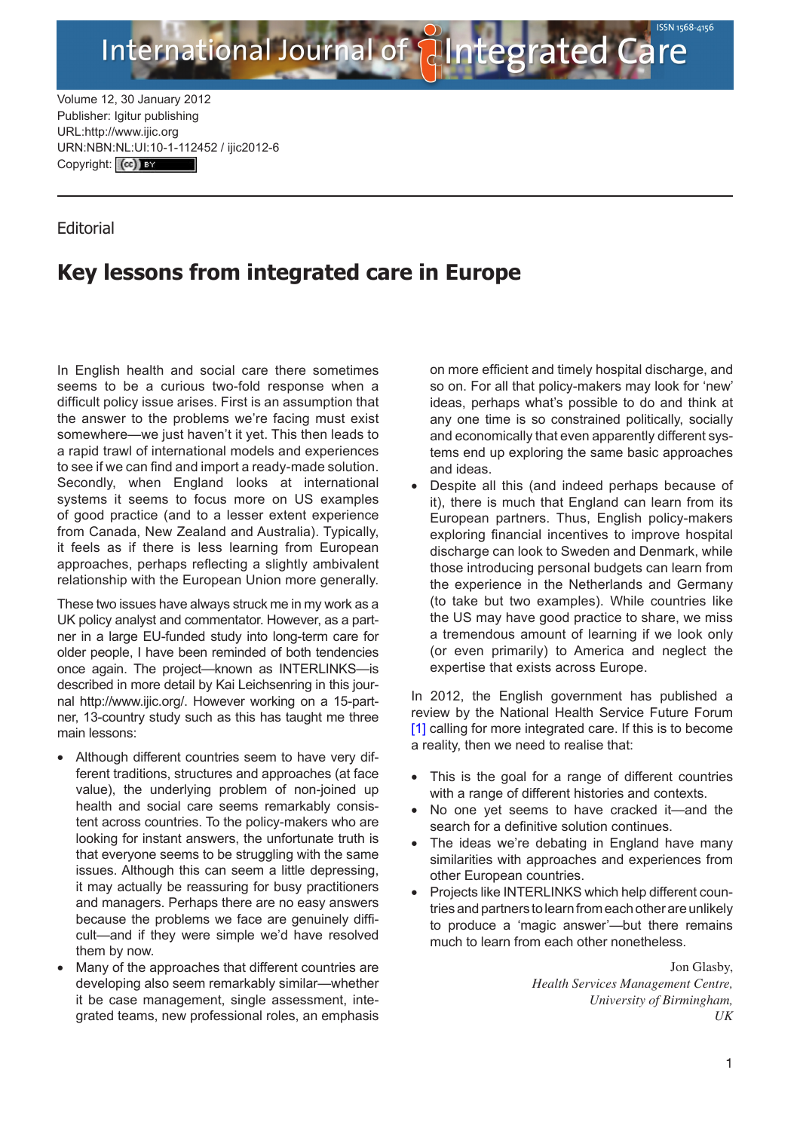Volume 12, 30 January 2012 Publisher: Igitur publishing URL:http://www.ijic.org URN:NBN[:NL:UI:10-1-1124](http://creativecommons.org/licenses/by/3.0/)52 / ijic2012-6 Copyright: (cc) EY

## **Editorial**

## **Key lessons from integrated care in Europe**

International Journal of

In English health and social care there sometimes seems to be a curious two-fold response when a difficult policy issue arises. First is an assumption that the answer to the problems we're facing must exist somewhere—we just haven't it yet. This then leads to a rapid trawl of international models and experiences to see if we can find and import a ready-made solution. Secondly, when England looks at international systems it seems to focus more on US examples of good practice (and to a lesser extent experience from Canada, New Zealand and Australia). Typically, it feels as if there is less learning from European approaches, perhaps reflecting a slightly ambivalent relationship with the European Union more generally.

These two issues have always struck me in my work as a UK policy analyst and commentator. However, as a partner in a large EU-funded study into long-term care for older people, I have been reminded of both tendencies once again. The project—known as INTERLINKS—is described in more detail by Kai Leichsenring in this journal <http://www.ijic.org/>. However working on a 15-partner, 13-country study such as this has taught me three main lessons:

- Although different countries seem to have very different traditions, structures and approaches (at face value), the underlying problem of non-joined up health and social care seems remarkably consistent across countries. To the policy-makers who are looking for instant answers, the unfortunate truth is that everyone seems to be struggling with the same issues. Although this can seem a little depressing, it may actually be reassuring for busy practitioners and managers. Perhaps there are no easy answers because the problems we face are genuinely difficult—and if they were simple we'd have resolved them by now.
- Many of the approaches that different countries are developing also seem remarkably similar—whether it be case management, single assessment, integrated teams, new professional roles, an emphasis

on more efficient and timely hospital discharge, and so on. For all that policy-makers may look for 'new' ideas, perhaps what's possible to do and think at any one time is so constrained politically, socially and economically that even apparently different systems end up exploring the same basic approaches and ideas.

tegrated Care

Despite all this (and indeed perhaps because of it), there is much that England can learn from its European partners. Thus, English policy-makers exploring financial incentives to improve hospital discharge can look to Sweden and Denmark, while those introducing personal budgets can learn from the experience in the Netherlands and Germany (to take but two examples). While countries like the US may have good practice to share, we miss a tremendous amount of learning if we look only (or even primarily) to America and neglect the expertise that exists across Europe.

In 2012, the English government has published a review by the National Health Service Future Forum [\[1\]](#page-1-0) calling for more integrated care. If this is to become a reality, then we need to realise that:

- This is the goal for a range of different countries with a range of different histories and contexts.
- No one yet seems to have cracked it—and the search for a definitive solution continues.
- The ideas we're debating in England have many similarities with approaches and experiences from other European countries.
- •• Projects like INTERLINKS which help different countries and partners to learn from each other are unlikely to produce a 'magic answer'—but there remains much to learn from each other nonetheless.

Jon Glasby, *Health Services Management Centre, University of Birmingham, UK*